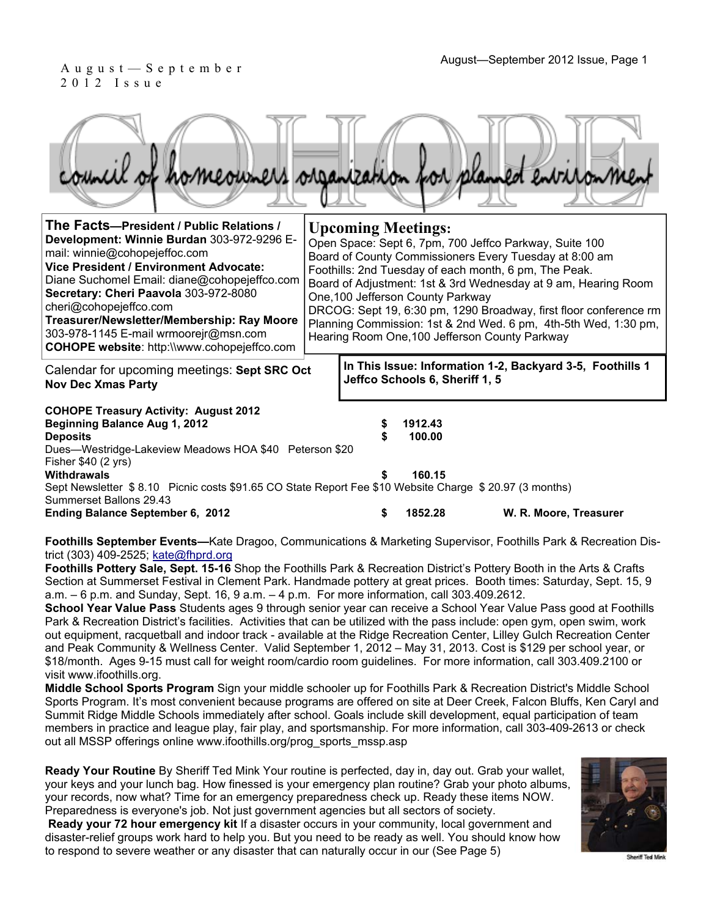**In This Issue: Information 1-2, Backyard 3-5, Foothills 1** 

**Jeffco Schools 6, Sheriff 1, 5** 

# 2012 Issue

|                                                                                                                                                                                                                                                                                                                                                                                                                                   | council of homeowners organization for planned environment                                                                                                                                                                                                                                                                                                                                                                                                                                              |
|-----------------------------------------------------------------------------------------------------------------------------------------------------------------------------------------------------------------------------------------------------------------------------------------------------------------------------------------------------------------------------------------------------------------------------------|---------------------------------------------------------------------------------------------------------------------------------------------------------------------------------------------------------------------------------------------------------------------------------------------------------------------------------------------------------------------------------------------------------------------------------------------------------------------------------------------------------|
| The Facts-President / Public Relations /<br>Development: Winnie Burdan 303-972-9296 E-<br>mail: winnie@cohopejeffoc.com<br><b>Vice President / Environment Advocate:</b><br>Diane Suchomel Email: diane@cohopejeffco.com<br>Secretary: Cheri Paavola 303-972-8080<br>cheri@cohopejeffco.com<br>Treasurer/Newsletter/Membership: Ray Moore<br>303-978-1145 E-mail wrmoorejr@msn.com<br>COHOPE website: http://www.cohopejeffco.com | <b>Upcoming Meetings:</b><br>Open Space: Sept 6, 7pm, 700 Jeffco Parkway, Suite 100<br>Board of County Commissioners Every Tuesday at 8:00 am<br>Foothills: 2nd Tuesday of each month, 6 pm, The Peak.<br>Board of Adjustment: 1st & 3rd Wednesday at 9 am, Hearing Room<br>One, 100 Jefferson County Parkway<br>DRCOG: Sept 19, 6:30 pm, 1290 Broadway, first floor conference rm<br>Planning Commission: 1st & 2nd Wed. 6 pm, 4th-5th Wed, 1:30 pm,<br>Hearing Room One, 100 Jefferson County Parkway |

Calendar for upcoming meetings: **Sept SRC Oct Nov Dec Xmas Party**

**COHOPE Treasury Activity: August 2012 Beginning Balance Aug 1, 2012 \$ 1912.43** 

**Deposits \$ 100.00**  Dues—Westridge-Lakeview Meadows HOA \$40 Peterson \$20 Fisher \$40 (2 yrs) **Withdrawals \$ 160.15**  Sept Newsletter \$ 8.10 Picnic costs \$91.65 CO State Report Fee \$10 Website Charge \$ 20.97 (3 months) Summerset Ballons 29.43 **Ending Balance September 6, 2012 \$ 1852.28 W. R. Moore, Treasurer** 

**Foothills September Events—**Kate Dragoo, Communications & Marketing Supervisor, Foothills Park & Recreation District (303) 409-2525; kate@fhprd.org

**Foothills Pottery Sale, Sept. 15-16** Shop the Foothills Park & Recreation District's Pottery Booth in the Arts & Crafts Section at Summerset Festival in Clement Park. Handmade pottery at great prices. Booth times: Saturday, Sept. 15, 9 a.m. – 6 p.m. and Sunday, Sept. 16, 9 a.m. – 4 p.m. For more information, call 303.409.2612.

**School Year Value Pass** Students ages 9 through senior year can receive a School Year Value Pass good at Foothills Park & Recreation District's facilities. Activities that can be utilized with the pass include: open gym, open swim, work out equipment, racquetball and indoor track - available at the Ridge Recreation Center, Lilley Gulch Recreation Center and Peak Community & Wellness Center. Valid September 1, 2012 – May 31, 2013. Cost is \$129 per school year, or \$18/month. Ages 9-15 must call for weight room/cardio room guidelines. For more information, call 303.409.2100 or visit www.ifoothills.org.

**Middle School Sports Program** Sign your middle schooler up for Foothills Park & Recreation District's Middle School Sports Program. It's most convenient because programs are offered on site at Deer Creek, Falcon Bluffs, Ken Caryl and Summit Ridge Middle Schools immediately after school. Goals include skill development, equal participation of team members in practice and league play, fair play, and sportsmanship. For more information, call 303-409-2613 or check out all MSSP offerings online www.ifoothills.org/prog\_sports\_mssp.asp

**Ready Your Routine** By Sheriff Ted Mink Your routine is perfected, day in, day out. Grab your wallet, your keys and your lunch bag. How finessed is your emergency plan routine? Grab your photo albums, your records, now what? Time for an emergency preparedness check up. Ready these items NOW. Preparedness is everyone's job. Not just government agencies but all sectors of society.

**Ready your 72 hour emergency kit** If a disaster occurs in your community, local government and disaster-relief groups work hard to help you. But you need to be ready as well. You should know how to respond to severe weather or any disaster that can naturally occur in our (See Page 5)



Sheriff Ted Mink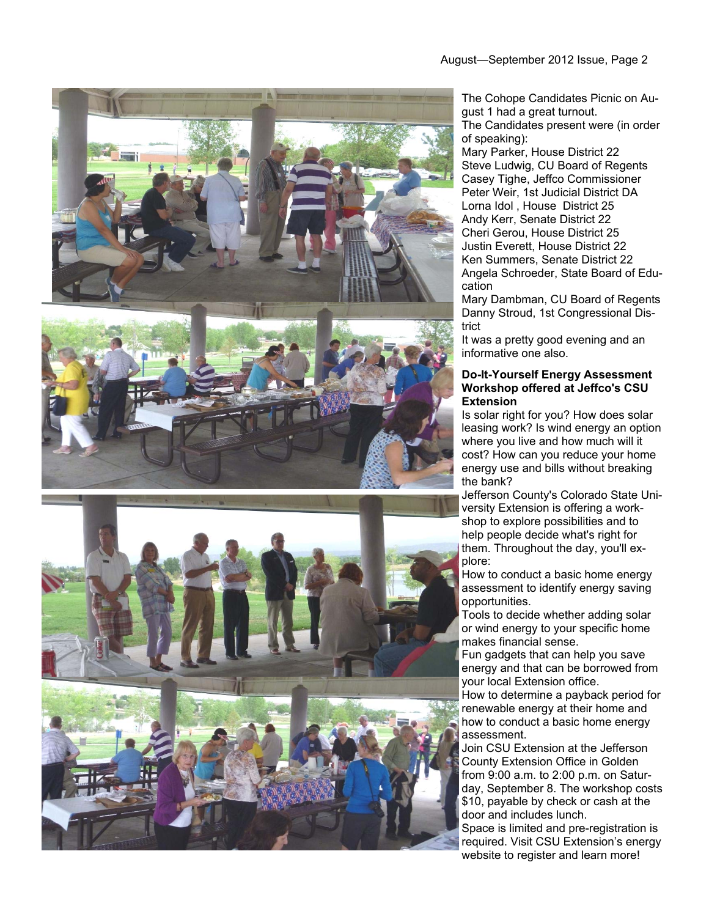



The Cohope Candidates Picnic on August 1 had a great turnout. The Candidates present were (in order of speaking):

Mary Parker, House District 22 Steve Ludwig, CU Board of Regents Casey Tighe, Jeffco Commissioner Peter Weir, 1st Judicial District DA Lorna Idol , House District 25 Andy Kerr, Senate District 22 Cheri Gerou, House District 25 Justin Everett, House District 22 Ken Summers, Senate District 22 Angela Schroeder, State Board of Education

Mary Dambman, CU Board of Regents Danny Stroud, 1st Congressional District

It was a pretty good evening and an informative one also.

#### **Do-It-Yourself Energy Assessment Workshop offered at Jeffco's CSU Extension**

Is solar right for you? How does solar leasing work? Is wind energy an option where you live and how much will it cost? How can you reduce your home energy use and bills without breaking the bank?

Jefferson County's Colorado State University Extension is offering a workshop to explore possibilities and to help people decide what's right for them. Throughout the day, you'll explore:

How to conduct a basic home energy assessment to identify energy saving opportunities.

Tools to decide whether adding solar or wind energy to your specific home makes financial sense.

Fun gadgets that can help you save energy and that can be borrowed from your local Extension office.

How to determine a payback period for renewable energy at their home and how to conduct a basic home energy assessment.

Join CSU Extension at the Jefferson County Extension Office in Golden from 9:00 a.m. to 2:00 p.m. on Saturday, September 8. The workshop costs \$10, payable by check or cash at the door and includes lunch. Space is limited and pre-registration is

required. Visit CSU Extension's energy website to register and learn more!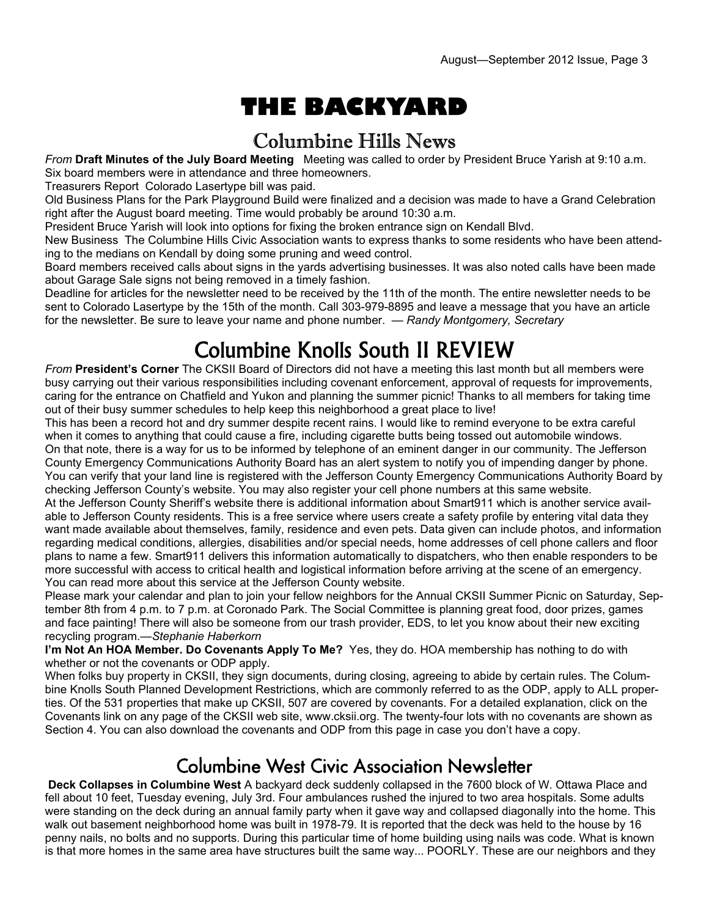# **THE BACKYARD**

## Columbine Hills News

*From* **Draft Minutes of the July Board Meeting** Meeting was called to order by President Bruce Yarish at 9:10 a.m. Six board members were in attendance and three homeowners.

Treasurers Report Colorado Lasertype bill was paid.

Old Business Plans for the Park Playground Build were finalized and a decision was made to have a Grand Celebration right after the August board meeting. Time would probably be around 10:30 a.m.

President Bruce Yarish will look into options for fixing the broken entrance sign on Kendall Blvd.

New Business The Columbine Hills Civic Association wants to express thanks to some residents who have been attending to the medians on Kendall by doing some pruning and weed control.

Board members received calls about signs in the yards advertising businesses. It was also noted calls have been made about Garage Sale signs not being removed in a timely fashion.

Deadline for articles for the newsletter need to be received by the 11th of the month. The entire newsletter needs to be sent to Colorado Lasertype by the 15th of the month. Call 303-979-8895 and leave a message that you have an article for the newsletter. Be sure to leave your name and phone number. — *Randy Montgomery, Secretary* 

## Columbine Knolls South II REVIEW

*From* **President's Corner** The CKSII Board of Directors did not have a meeting this last month but all members were busy carrying out their various responsibilities including covenant enforcement, approval of requests for improvements, caring for the entrance on Chatfield and Yukon and planning the summer picnic! Thanks to all members for taking time out of their busy summer schedules to help keep this neighborhood a great place to live!

This has been a record hot and dry summer despite recent rains. I would like to remind everyone to be extra careful when it comes to anything that could cause a fire, including cigarette butts being tossed out automobile windows. On that note, there is a way for us to be informed by telephone of an eminent danger in our community. The Jefferson County Emergency Communications Authority Board has an alert system to notify you of impending danger by phone. You can verify that your land line is registered with the Jefferson County Emergency Communications Authority Board by checking Jefferson County's website. You may also register your cell phone numbers at this same website.

At the Jefferson County Sheriff's website there is additional information about Smart911 which is another service available to Jefferson County residents. This is a free service where users create a safety profile by entering vital data they want made available about themselves, family, residence and even pets. Data given can include photos, and information regarding medical conditions, allergies, disabilities and/or special needs, home addresses of cell phone callers and floor plans to name a few. Smart911 delivers this information automatically to dispatchers, who then enable responders to be more successful with access to critical health and logistical information before arriving at the scene of an emergency. You can read more about this service at the Jefferson County website.

Please mark your calendar and plan to join your fellow neighbors for the Annual CKSII Summer Picnic on Saturday, September 8th from 4 p.m. to 7 p.m. at Coronado Park. The Social Committee is planning great food, door prizes, games and face painting! There will also be someone from our trash provider, EDS, to let you know about their new exciting recycling program.—*Stephanie Haberkorn* 

**I'm Not An HOA Member. Do Covenants Apply To Me?** Yes, they do. HOA membership has nothing to do with whether or not the covenants or ODP apply.

When folks buy property in CKSII, they sign documents, during closing, agreeing to abide by certain rules. The Columbine Knolls South Planned Development Restrictions, which are commonly referred to as the ODP, apply to ALL properties. Of the 531 properties that make up CKSII, 507 are covered by covenants. For a detailed explanation, click on the Covenants link on any page of the CKSII web site, www.cksii.org. The twenty-four lots with no covenants are shown as Section 4. You can also download the covenants and ODP from this page in case you don't have a copy.

### Columbine West Civic Association Newsletter

**Deck Collapses in Columbine West** A backyard deck suddenly collapsed in the 7600 block of W. Ottawa Place and fell about 10 feet, Tuesday evening, July 3rd. Four ambulances rushed the injured to two area hospitals. Some adults were standing on the deck during an annual family party when it gave way and collapsed diagonally into the home. This walk out basement neighborhood home was built in 1978-79. It is reported that the deck was held to the house by 16 penny nails, no bolts and no supports. During this particular time of home building using nails was code. What is known is that more homes in the same area have structures built the same way... POORLY. These are our neighbors and they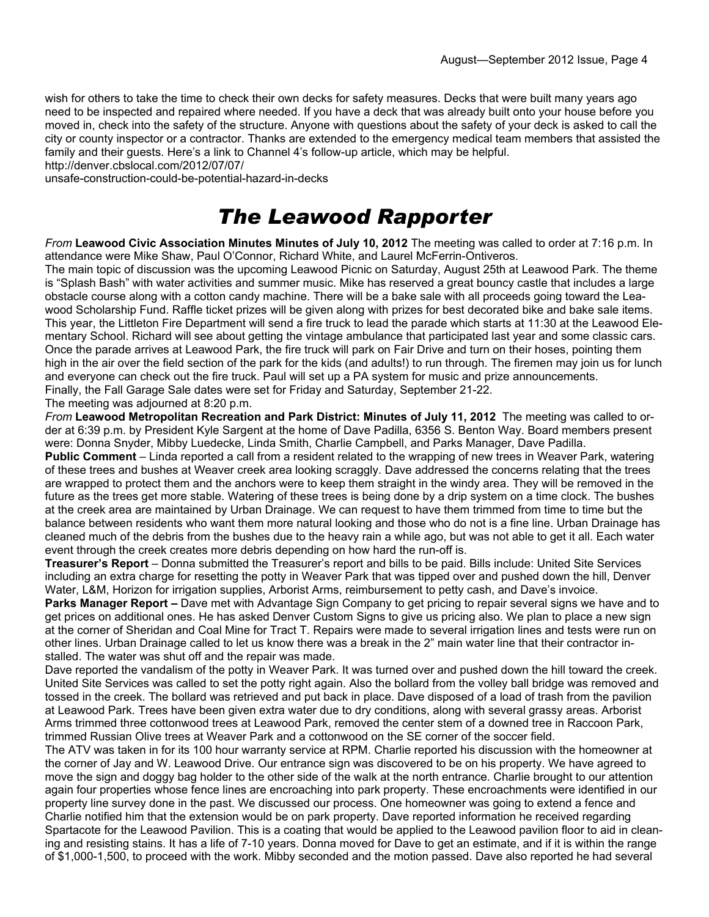wish for others to take the time to check their own decks for safety measures. Decks that were built many years ago need to be inspected and repaired where needed. If you have a deck that was already built onto your house before you moved in, check into the safety of the structure. Anyone with questions about the safety of your deck is asked to call the city or county inspector or a contractor. Thanks are extended to the emergency medical team members that assisted the family and their guests. Here's a link to Channel 4's follow-up article, which may be helpful.

http://denver.cbslocal.com/2012/07/07/

unsafe-construction-could-be-potential-hazard-in-decks

## *The Leawood Rapporter*

*From* **Leawood Civic Association Minutes Minutes of July 10, 2012** The meeting was called to order at 7:16 p.m. In attendance were Mike Shaw, Paul O'Connor, Richard White, and Laurel McFerrin-Ontiveros.

The main topic of discussion was the upcoming Leawood Picnic on Saturday, August 25th at Leawood Park. The theme is "Splash Bash" with water activities and summer music. Mike has reserved a great bouncy castle that includes a large obstacle course along with a cotton candy machine. There will be a bake sale with all proceeds going toward the Leawood Scholarship Fund. Raffle ticket prizes will be given along with prizes for best decorated bike and bake sale items. This year, the Littleton Fire Department will send a fire truck to lead the parade which starts at 11:30 at the Leawood Elementary School. Richard will see about getting the vintage ambulance that participated last year and some classic cars. Once the parade arrives at Leawood Park, the fire truck will park on Fair Drive and turn on their hoses, pointing them high in the air over the field section of the park for the kids (and adults!) to run through. The firemen may join us for lunch and everyone can check out the fire truck. Paul will set up a PA system for music and prize announcements. Finally, the Fall Garage Sale dates were set for Friday and Saturday, September 21-22.

The meeting was adjourned at 8:20 p.m.

*From* **Leawood Metropolitan Recreation and Park District: Minutes of July 11, 2012** The meeting was called to order at 6:39 p.m. by President Kyle Sargent at the home of Dave Padilla, 6356 S. Benton Way. Board members present were: Donna Snyder, Mibby Luedecke, Linda Smith, Charlie Campbell, and Parks Manager, Dave Padilla.

**Public Comment** – Linda reported a call from a resident related to the wrapping of new trees in Weaver Park, watering of these trees and bushes at Weaver creek area looking scraggly. Dave addressed the concerns relating that the trees are wrapped to protect them and the anchors were to keep them straight in the windy area. They will be removed in the future as the trees get more stable. Watering of these trees is being done by a drip system on a time clock. The bushes at the creek area are maintained by Urban Drainage. We can request to have them trimmed from time to time but the balance between residents who want them more natural looking and those who do not is a fine line. Urban Drainage has cleaned much of the debris from the bushes due to the heavy rain a while ago, but was not able to get it all. Each water event through the creek creates more debris depending on how hard the run-off is.

**Treasurer's Report** – Donna submitted the Treasurer's report and bills to be paid. Bills include: United Site Services including an extra charge for resetting the potty in Weaver Park that was tipped over and pushed down the hill, Denver Water, L&M, Horizon for irrigation supplies, Arborist Arms, reimbursement to petty cash, and Dave's invoice.

**Parks Manager Report –** Dave met with Advantage Sign Company to get pricing to repair several signs we have and to get prices on additional ones. He has asked Denver Custom Signs to give us pricing also. We plan to place a new sign at the corner of Sheridan and Coal Mine for Tract T. Repairs were made to several irrigation lines and tests were run on other lines. Urban Drainage called to let us know there was a break in the 2" main water line that their contractor installed. The water was shut off and the repair was made.

Dave reported the vandalism of the potty in Weaver Park. It was turned over and pushed down the hill toward the creek. United Site Services was called to set the potty right again. Also the bollard from the volley ball bridge was removed and tossed in the creek. The bollard was retrieved and put back in place. Dave disposed of a load of trash from the pavilion at Leawood Park. Trees have been given extra water due to dry conditions, along with several grassy areas. Arborist Arms trimmed three cottonwood trees at Leawood Park, removed the center stem of a downed tree in Raccoon Park, trimmed Russian Olive trees at Weaver Park and a cottonwood on the SE corner of the soccer field.

The ATV was taken in for its 100 hour warranty service at RPM. Charlie reported his discussion with the homeowner at the corner of Jay and W. Leawood Drive. Our entrance sign was discovered to be on his property. We have agreed to move the sign and doggy bag holder to the other side of the walk at the north entrance. Charlie brought to our attention again four properties whose fence lines are encroaching into park property. These encroachments were identified in our property line survey done in the past. We discussed our process. One homeowner was going to extend a fence and Charlie notified him that the extension would be on park property. Dave reported information he received regarding Spartacote for the Leawood Pavilion. This is a coating that would be applied to the Leawood pavilion floor to aid in cleaning and resisting stains. It has a life of 7-10 years. Donna moved for Dave to get an estimate, and if it is within the range of \$1,000-1,500, to proceed with the work. Mibby seconded and the motion passed. Dave also reported he had several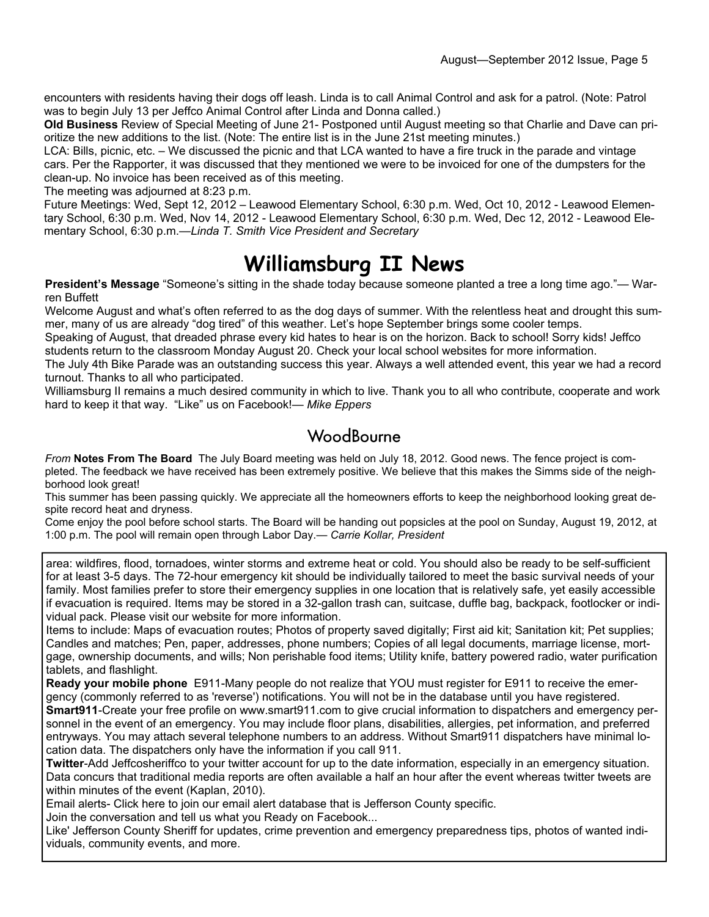encounters with residents having their dogs off leash. Linda is to call Animal Control and ask for a patrol. (Note: Patrol was to begin July 13 per Jeffco Animal Control after Linda and Donna called.)

**Old Business** Review of Special Meeting of June 21- Postponed until August meeting so that Charlie and Dave can prioritize the new additions to the list. (Note: The entire list is in the June 21st meeting minutes.)

LCA: Bills, picnic, etc. – We discussed the picnic and that LCA wanted to have a fire truck in the parade and vintage cars. Per the Rapporter, it was discussed that they mentioned we were to be invoiced for one of the dumpsters for the clean-up. No invoice has been received as of this meeting.

The meeting was adjourned at 8:23 p.m.

Future Meetings: Wed, Sept 12, 2012 – Leawood Elementary School, 6:30 p.m. Wed, Oct 10, 2012 - Leawood Elementary School, 6:30 p.m. Wed, Nov 14, 2012 - Leawood Elementary School, 6:30 p.m. Wed, Dec 12, 2012 - Leawood Elementary School, 6:30 p.m.—*Linda T. Smith Vice President and Secretary* 

## **Williamsburg II News**

**President's Message** "Someone's sitting in the shade today because someone planted a tree a long time ago."— Warren Buffett

Welcome August and what's often referred to as the dog days of summer. With the relentless heat and drought this summer, many of us are already "dog tired" of this weather. Let's hope September brings some cooler temps.

Speaking of August, that dreaded phrase every kid hates to hear is on the horizon. Back to school! Sorry kids! Jeffco students return to the classroom Monday August 20. Check your local school websites for more information.

The July 4th Bike Parade was an outstanding success this year. Always a well attended event, this year we had a record turnout. Thanks to all who participated.

Williamsburg II remains a much desired community in which to live. Thank you to all who contribute, cooperate and work hard to keep it that way. "Like" us on Facebook!*— Mike Eppers*

#### **WoodBourne**

*From* **Notes From The Board** The July Board meeting was held on July 18, 2012. Good news. The fence project is completed. The feedback we have received has been extremely positive. We believe that this makes the Simms side of the neighborhood look great!

This summer has been passing quickly. We appreciate all the homeowners efforts to keep the neighborhood looking great despite record heat and dryness.

Come enjoy the pool before school starts. The Board will be handing out popsicles at the pool on Sunday, August 19, 2012, at 1:00 p.m. The pool will remain open through Labor Day.*— Carrie Kollar, President*

area: wildfires, flood, tornadoes, winter storms and extreme heat or cold. You should also be ready to be self-sufficient for at least 3-5 days. The 72-hour emergency kit should be individually tailored to meet the basic survival needs of your family. Most families prefer to store their emergency supplies in one location that is relatively safe, yet easily accessible if evacuation is required. Items may be stored in a 32-gallon trash can, suitcase, duffle bag, backpack, footlocker or individual pack. Please visit our website for more information.

Items to include: Maps of evacuation routes; Photos of property saved digitally; First aid kit; Sanitation kit; Pet supplies; Candles and matches; Pen, paper, addresses, phone numbers; Copies of all legal documents, marriage license, mortgage, ownership documents, and wills; Non perishable food items; Utility knife, battery powered radio, water purification tablets, and flashlight.

**Ready your mobile phone** E911-Many people do not realize that YOU must register for E911 to receive the emergency (commonly referred to as 'reverse') notifications. You will not be in the database until you have registered. **Smart911**-Create your free profile on www.smart911.com to give crucial information to dispatchers and emergency per-

sonnel in the event of an emergency. You may include floor plans, disabilities, allergies, pet information, and preferred entryways. You may attach several telephone numbers to an address. Without Smart911 dispatchers have minimal location data. The dispatchers only have the information if you call 911.

**Twitter**-Add Jeffcosheriffco to your twitter account for up to the date information, especially in an emergency situation. Data concurs that traditional media reports are often available a half an hour after the event whereas twitter tweets are within minutes of the event (Kaplan, 2010).

Email alerts- Click here to join our email alert database that is Jefferson County specific.

Join the conversation and tell us what you Ready on Facebook...

Like' Jefferson County Sheriff for updates, crime prevention and emergency preparedness tips, photos of wanted individuals, community events, and more.